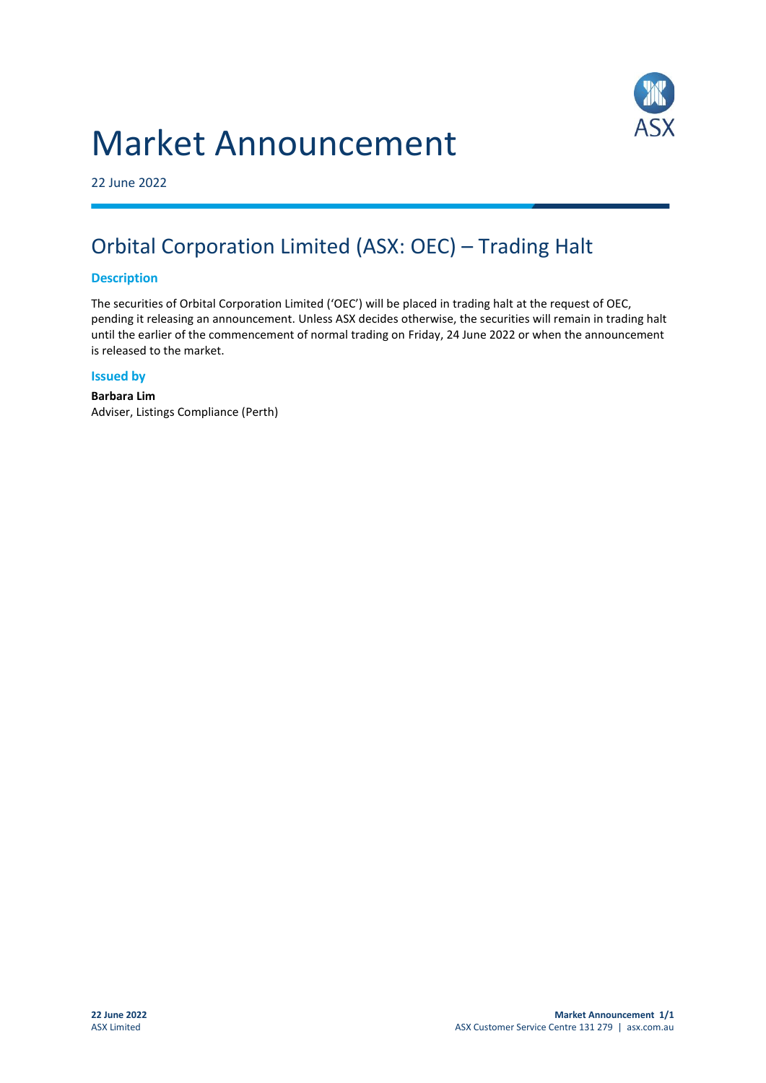# Market Announcement



22 June 2022

## Orbital Corporation Limited (ASX: OEC) – Trading Halt

#### **Description**

The securities of Orbital Corporation Limited ('OEC') will be placed in trading halt at the request of OEC, pending it releasing an announcement. Unless ASX decides otherwise, the securities will remain in trading halt until the earlier of the commencement of normal trading on Friday, 24 June 2022 or when the announcement is released to the market.

#### **Issued by**

**Barbara Lim** Adviser, Listings Compliance (Perth)